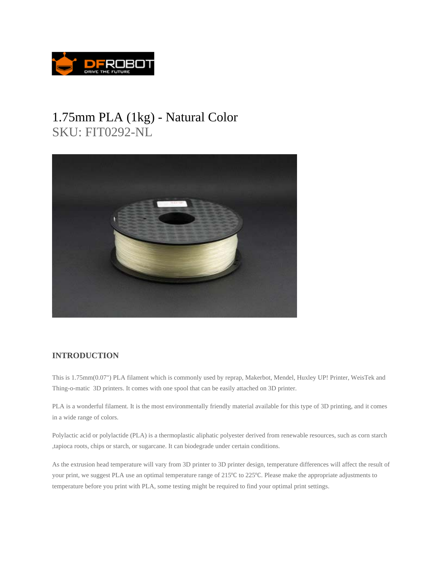

## 1.75mm PLA (1kg) - Natural Color SKU: FIT0292-NL



## **INTRODUCTION**

This is 1.75mm(0.07") PLA filament which is commonly used by reprap, Makerbot, Mendel, Huxley UP! Printer, WeisTek and Thing-o-matic 3D printers. It comes with one spool that can be easily attached on 3D printer.

PLA is a wonderful filament. It is the most environmentally friendly material available for this type of 3D printing, and it comes in a wide range of colors.

Polylactic acid or polylactide (PLA) is a thermoplastic aliphatic polyester derived from renewable resources, such as corn starch ,tapioca roots, chips or starch, or sugarcane. It can biodegrade under certain conditions.

As the extrusion head temperature will vary from 3D printer to 3D printer design, temperature differences will affect the result of your print, we suggest PLA use an optimal temperature range of 215<sup>o</sup>C to 225<sup>o</sup>C. Please make the appropriate adjustments to temperature before you print with PLA, some testing might be required to find your optimal print settings.